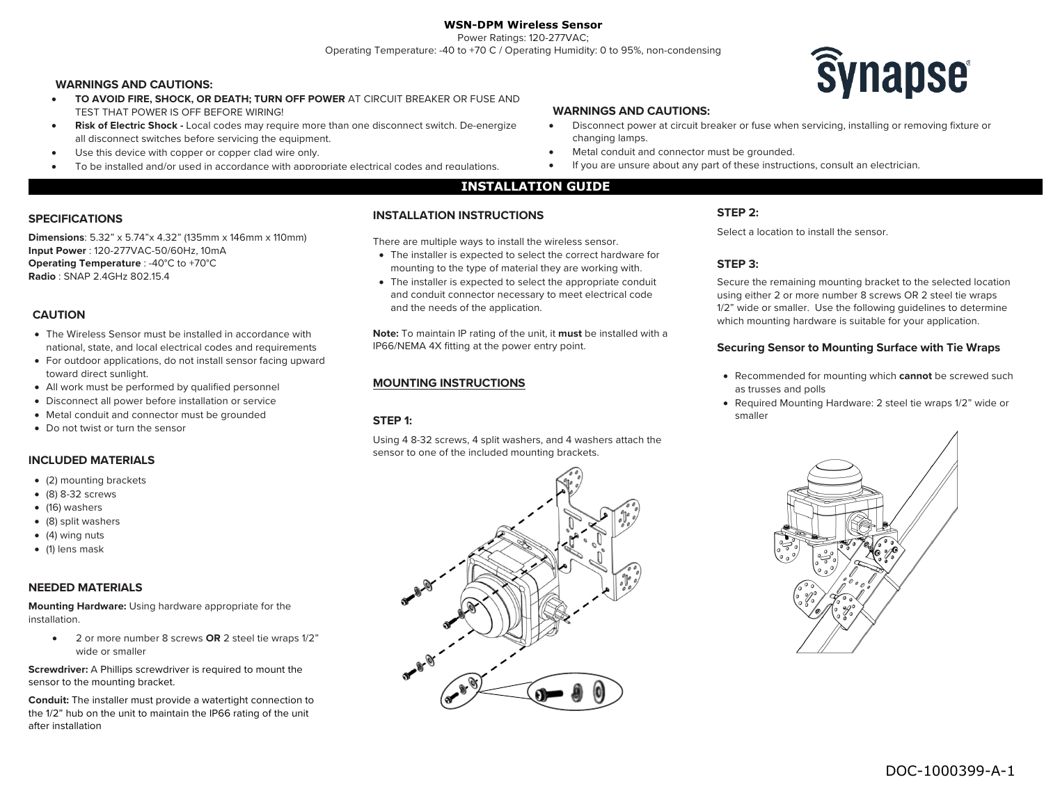# **WSN-DPM Wireless Sensor**

Power Ratings: 120-277VAC; Operating Temperature: -40 to +70 C / Operating Humidity: 0 to 95%, non-condensing

#### **WARNINGS AND CAUTIONS:**

- **TO AVOID FIRE, SHOCK, OR DEATH; TURN OFF POWER** AT CIRCUIT BREAKER OR FUSE AND TEST THAT POWER IS OFF BEFORE WIRING!
- **Risk of Electric Shock -** Local codes may require more than one disconnect switch. De-energize all disconnect switches before servicing the equipment.
- Use this device with copper or copper clad wire only.
- To be installed and/or used in accordance with appropriate electrical codes and regulations.



#### **WARNINGS AND CAUTIONS:**

- Disconnect power at circuit breaker or fuse when servicing, installing or removing fixture or changing lamps.
- Metal conduit and connector must be grounded.
- If you are unsure about any part of these instructions, consult an electrician.

#### **INSTALLATION GUIDE**

#### **INSTALLATION INSTRUCTIONS**

There are multiple ways to install the wireless sensor.

- The installer is expected to select the correct hardware for mounting to the type of material they are working with.
- The installer is expected to select the appropriate conduit and conduit connector necessary to meet electrical code and the needs of the application.

**Note:** To maintain IP rating of the unit, it **must** be installed with a IP66/NEMA 4X fitting at the power entry point.

#### **MOUNTING INSTRUCTIONS**

## **STEP 1:**

Using 4 8-32 screws, 4 split washers, and 4 washers attach the sensor to one of the included mounting brackets.

## **STEP 2:**

Select a location to install the sensor.

## **STEP 3:**

Secure the remaining mounting bracket to the selected location using either 2 or more number 8 screws OR 2 steel tie wraps 1/2" wide or smaller. Use the following guidelines to determine which mounting hardware is suitable for your application.

#### **Securing Sensor to Mounting Surface with Tie Wraps**

- Recommended for mounting which **cannot** be screwed such as trusses and polls
- Required Mounting Hardware: 2 steel tie wraps 1/2" wide or smaller



## **SPECIFICATIONS**

**Dimensions**: 5.32" x 5.74"x 4.32" (135mm x 146mm x 110mm) **Input Power** : 120-277VAC-50/60Hz, 10mA **Operating Temperature** : -40°C to +70°C **Radio** : SNAP 2.4GHz 802.15.4

## **CAUTION**

- The Wireless Sensor must be installed in accordance with national, state, and local electrical codes and requirements
- For outdoor applications, do not install sensor facing upward toward direct sunlight.
- All work must be performed by qualified personnel
- Disconnect all power before installation or service
- Metal conduit and connector must be grounded
- Do not twist or turn the sensor

### **INCLUDED MATERIALS**

- (2) mounting brackets
- (8) 8-32 screws
- (16) washers
- (8) split washers
- (4) wing nuts
- (1) lens mask

#### **NEEDED MATERIALS**

**Mounting Hardware:** Using hardware appropriate for the installation.

• 2 or more number 8 screws **OR** 2 steel tie wraps 1/2" wide or smaller

**Screwdriver:** A Phillips screwdriver is required to mount the sensor to the mounting bracket.

**Conduit:** The installer must provide a watertight connection to the 1/2" hub on the unit to maintain the IP66 rating of the unit after installation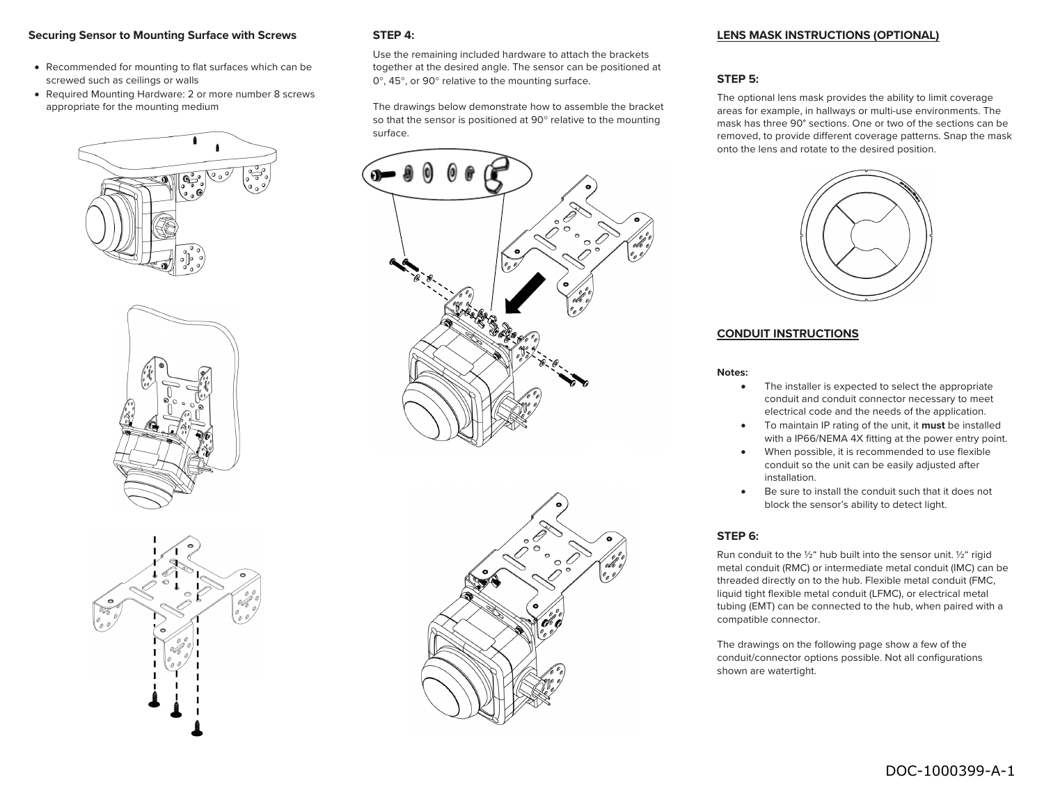## **Securing Sensor to Mounting Surface with Screws**

- Recommended for mounting to flat surfaces which can be screwed such as ceilings or walls
- Required Mounting Hardware: 2 or more number 8 screws appropriate for the mounting medium







## **STEP 4:**

Use the remaining included hardware to attach the brackets together at the desired angle. The sensor can be positioned at 0°, 45°, or 90° relative to the mounting surface.

The drawings below demonstrate how to assemble the bracket so that the sensor is positioned at 90° relative to the mounting surface.





#### **LENS MASK INSTRUCTIONS (OPTIONAL)**

#### **STEP 5:**

The optional lens mask provides the ability to limit coverage areas for example, in hallways or multi-use environments. The mask has three 90° sections. One or two of the sections can be removed, to provide different coverage patterns. Snap the mask onto the lens and rotate to the desired position.



## **CONDUIT INSTRUCTIONS**

#### **Notes:**

- The installer is expected to select the appropriate conduit and conduit connector necessary to meet electrical code and the needs of the application.
- To maintain IP rating of the unit, it **must** be installed with a IP66/NEMA 4X fitting at the power entry point.
- When possible, it is recommended to use flexible conduit so the unit can be easily adjusted after installation.
- Be sure to install the conduit such that it does not block the sensor's ability to detect light.

### **STEP 6:**

Run conduit to the  $\frac{1}{2}$ " hub built into the sensor unit.  $\frac{1}{2}$ " rigid metal conduit (RMC) or intermediate metal conduit (IMC) can be threaded directly on to the hub. Flexible metal conduit (FMC, liquid tight flexible metal conduit (LFMC), or electrical metal tubing (EMT) can be connected to the hub, when paired with a compatible connector.

The drawings on the following page show a few of the conduit/connector options possible. Not all configurations shown are watertight.